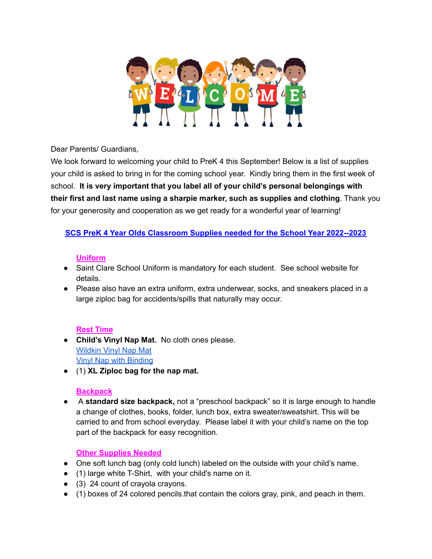

Dear Parents/ Guardians,

We look forward to welcoming your child to PreK 4 this September! Below is a list of supplies your child is asked to bring in for the coming school year. Kindly bring them in the first week of school. **It is very important that you label all of your child's personal belongings with their first and last name using a sharpie marker, such as supplies and clothing**. Thank you for your generosity and cooperation as we get ready for a wonderful year of learning!

## **SCS PreK 4 Year Olds Classroom Supplies needed for the School Year 2022--2023**

### **Uniform**

- Saint Clare School Uniform is mandatory for each student. See school website for details.
- Please also have an extra uniform, extra underwear, socks, and sneakers placed in a large ziploc bag for accidents/spills that naturally may occur.

## **Rest Time**

- **Child's Vinyl Nap Mat.** No cloth ones please. [Wildkin](https://www.amazon.com/dp/B0964KDSFJ?ref_=cm_sw_r_cp_ud_dp_0P4CYPHSN10NETRSWF32) Vinyl Nap Mat Vinyl Nap with [Binding](https://www.amazon.com/dp/B01IRZLI1Y?ref_=cm_sw_r_cp_ud_dp_GZ929ZVATCA2XF5SKT9G)
- (1) **XL Ziploc bag for the nap mat.**

#### **Backpack**

● A **standard size backpack,** not a "preschool backpack" so it is large enough to handle a change of clothes, books, folder, lunch box, extra sweater/sweatshirt. This will be carried to and from school everyday. Please label it with your child's name on the top part of the backpack for easy recognition.

## **Other Supplies Needed**

- One soft lunch bag (only cold lunch) labeled on the outside with your child's name.
- (1) large white T-Shirt, with your child's name on it.
- (3) 24 count of crayola crayons.
- (1) boxes of 24 colored pencils.that contain the colors gray, pink, and peach in them.